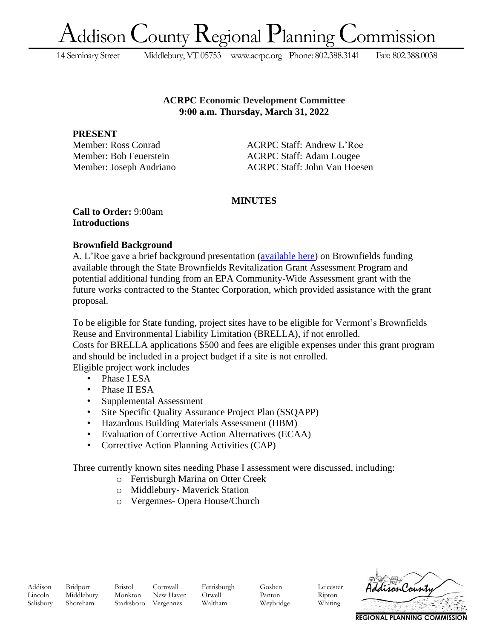ddison County Regional Planning Commission

14 Seminary Street Middlebury, VT 05753 [www.acrpc.org](http://www.acrpc.org/) Phone: 802.388.3141 Fax: 802.388.0038

### **ACRPC Economic Development Committee 9:00 a.m. Thursday, March 31, 2022**

**PRESENT**

Member: Ross Conrad ACRPC Staff: Andrew L'Roe Member: Bob Feuerstein ACRPC Staff: Adam Lougee Member: Joseph Andriano ACRPC Staff: John Van Hoesen

# **MINUTES**

**Call to Order:** 9:00am **Introductions**

# **Brownfield Background**

A. L'Roe gave a brief background presentation [\(available here\)](https://acrpc.org/wp-content/uploads/2022/04/Addison-County-Brownfields-Program-March-2022-presentation.pdf) on Brownfields funding available through the State Brownfields Revitalization Grant Assessment Program and potential additional funding from an EPA Community-Wide Assessment grant with the future works contracted to the Stantec Corporation, which provided assistance with the grant proposal.

To be eligible for State funding, project sites have to be eligible for Vermont's Brownfields Reuse and Environmental Liability Limitation (BRELLA), if not enrolled.

Costs for BRELLA applications \$500 and fees are eligible expenses under this grant program and should be included in a project budget if a site is not enrolled.

Eligible project work includes

- Phase I ESA
- Phase II ESA
- Supplemental Assessment
- Site Specific Quality Assurance Project Plan (SSQAPP)
- Hazardous Building Materials Assessment (HBM)
- Evaluation of Corrective Action Alternatives (ECAA)
- Corrective Action Planning Activities (CAP)

Three currently known sites needing Phase I assessment were discussed, including:

- o Ferrisburgh Marina on Otter Creek
- o Middlebury- Maverick Station
- o Vergennes- Opera House/Church

Addison Bridport Bristol Cornwall Ferrisburgh Goshen Leicester Lincoln Middlebury Monkton New Haven Orwell Panton Ripton Salisbury Shoreham Starksboro Vergennes Waltham Weybridge Whiting



**REGIONAL PLANNING COMMISSION**